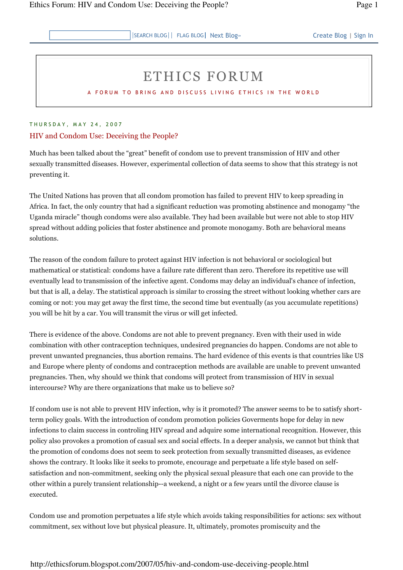## ETHICS FORUM

A FORUM TO BRING AND DISCUSS LIVING ETHICS IN THE WORLD

## THURSDAY, MAY 24, 2007

## HIV and Condom Use: Deceiving the People?

Much has been talked about the "great" benefit of condom use to prevent transmission of HIV and other sexually transmitted diseases. However, experimental collection of data seems to show that this strategy is not preventing it.

The United Nations has proven that all condom promotion has failed to prevent HIV to keep spreading in Africa. In fact, the only country that had a significant reduction was promoting abstinence and monogamy "the Uganda miracle" though condoms were also available. They had been available but were not able to stop HIV spread without adding policies that foster abstinence and promote monogamy. Both are behavioral means solutions.

The reason of the condom failure to protect against HIV infection is not behavioral or sociological but mathematical or statistical: condoms have a failure rate different than zero. Therefore its repetitive use will eventually lead to transmission of the infective agent. Condoms may delay an individual's chance of infection, but that is all, a delay. The statistical approach is similar to crossing the street without looking whether cars are coming or not: you may get away the first time, the second time but eventually (as you accumulate repetitions) you will be hit by a car. You will transmit the virus or will get infected.

There is evidence of the above. Condoms are not able to prevent pregnancy. Even with their used in wide combination with other contraception techniques, undesired pregnancies do happen. Condoms are not able to prevent unwanted pregnancies, thus abortion remains. The hard evidence of this events is that countries like US and Europe where plenty of condoms and contraception methods are available are unable to prevent unwanted pregnancies. Then, why should we think that condoms will protect from transmission of HIV in sexual intercourse? Why are there organizations that make us to believe so?

If condom use is not able to prevent HIV infection, why is it promoted? The answer seems to be to satisfy shortterm policy goals. With the introduction of condom promotion policies Goverments hope for delay in new infections to claim success in controling HIV spread and adquire some international recognition. However, this policy also provokes a promotion of casual sex and social effects. In a deeper analysis, we cannot but think that the promotion of condoms does not seem to seek protection from sexually transmitted diseases, as evidence shows the contrary. It looks like it seeks to promote, encourage and perpetuate a life style based on selfsatisfaction and non-commitment, seeking only the physical sexual pleasure that each one can provide to the other within a purely transient relationship--a weekend, a night or a few years until the divorce clause is executed.

Condom use and promotion perpetuates a life style which avoids taking responsibilities for actions: sex without commitment, sex without love but physical pleasure. It, ultimately, promotes promiscuity and the

## http://ethicsforum.blogspot.com/2007/05/hiv-and-condom-use-deceiving-people.html